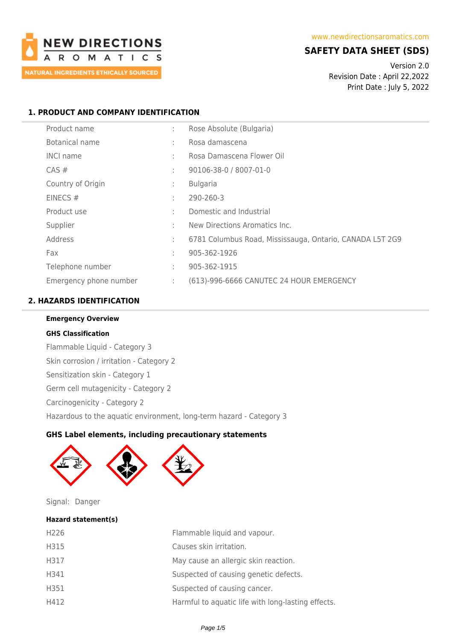

# **SAFETY DATA SHEET (SDS)**

Version 2.0 Revision Date : April 22,2022 Print Date : July 5, 2022

# **1. PRODUCT AND COMPANY IDENTIFICATION**

| Product name           | ÷  | Rose Absolute (Bulgaria)                                 |
|------------------------|----|----------------------------------------------------------|
| <b>Botanical name</b>  | ÷  | Rosa damascena                                           |
| <b>INCI name</b>       | ÷  | Rosa Damascena Flower Oil                                |
| CAS#                   | ÷  | 90106-38-0 / 8007-01-0                                   |
| Country of Origin      | ÷  | <b>Bulgaria</b>                                          |
| EINECS#                | ÷  | 290-260-3                                                |
| Product use            | ٠  | Domestic and Industrial                                  |
| Supplier               | ٠  | New Directions Aromatics Inc.                            |
| Address                | ÷  | 6781 Columbus Road, Mississauga, Ontario, CANADA L5T 2G9 |
| Fax                    | t. | 905-362-1926                                             |
| Telephone number       | ÷  | 905-362-1915                                             |
| Emergency phone number | ÷. | (613)-996-6666 CANUTEC 24 HOUR EMERGENCY                 |

# **2. HAZARDS IDENTIFICATION**

# **Emergency Overview**

### **GHS Classification**

Flammable Liquid - Category 3 Skin corrosion / irritation - Category 2 Sensitization skin - Category 1 Germ cell mutagenicity - Category 2 Carcinogenicity - Category 2 Hazardous to the aquatic environment, long-term hazard - Category 3

# **GHS Label elements, including precautionary statements**



Signal: Danger

# **Hazard statement(s)**

| H <sub>226</sub> | Flammable liquid and vapour.                       |
|------------------|----------------------------------------------------|
| H315             | Causes skin irritation.                            |
| H317             | May cause an allergic skin reaction.               |
| H341             | Suspected of causing genetic defects.              |
| H351             | Suspected of causing cancer.                       |
| H412             | Harmful to aquatic life with long-lasting effects. |
|                  |                                                    |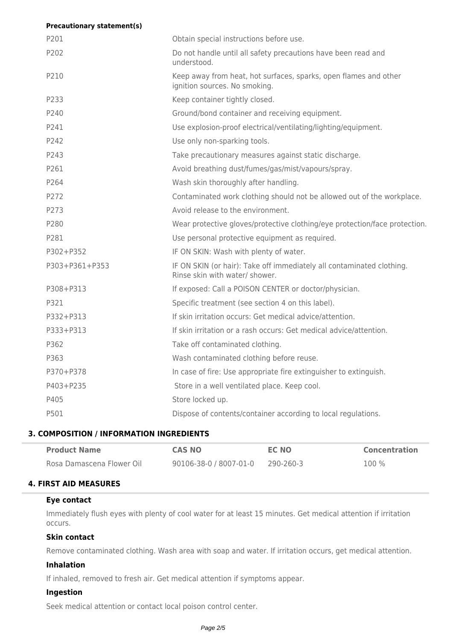| <b>Precautionary statement(s)</b> |                                                                                                         |
|-----------------------------------|---------------------------------------------------------------------------------------------------------|
| P201                              | Obtain special instructions before use.                                                                 |
| P202                              | Do not handle until all safety precautions have been read and<br>understood.                            |
| P210                              | Keep away from heat, hot surfaces, sparks, open flames and other<br>ignition sources. No smoking.       |
| P233                              | Keep container tightly closed.                                                                          |
| P240                              | Ground/bond container and receiving equipment.                                                          |
| P241                              | Use explosion-proof electrical/ventilating/lighting/equipment.                                          |
| P242                              | Use only non-sparking tools.                                                                            |
| P <sub>243</sub>                  | Take precautionary measures against static discharge.                                                   |
| P261                              | Avoid breathing dust/fumes/gas/mist/vapours/spray.                                                      |
| P264                              | Wash skin thoroughly after handling.                                                                    |
| P272                              | Contaminated work clothing should not be allowed out of the workplace.                                  |
| P273                              | Avoid release to the environment.                                                                       |
| P280                              | Wear protective gloves/protective clothing/eye protection/face protection.                              |
| P281                              | Use personal protective equipment as required.                                                          |
| P302+P352                         | IF ON SKIN: Wash with plenty of water.                                                                  |
| P303+P361+P353                    | IF ON SKIN (or hair): Take off immediately all contaminated clothing.<br>Rinse skin with water/ shower. |
| P308+P313                         | If exposed: Call a POISON CENTER or doctor/physician.                                                   |
| P321                              | Specific treatment (see section 4 on this label).                                                       |
| P332+P313                         | If skin irritation occurs: Get medical advice/attention.                                                |
| P333+P313                         | If skin irritation or a rash occurs: Get medical advice/attention.                                      |
| P362                              | Take off contaminated clothing.                                                                         |
| P363                              | Wash contaminated clothing before reuse.                                                                |
| P370+P378                         | In case of fire: Use appropriate fire extinguisher to extinguish.                                       |
| P403+P235                         | Store in a well ventilated place. Keep cool.                                                            |
| P405                              | Store locked up.                                                                                        |
| P501                              | Dispose of contents/container according to local regulations.                                           |

# **3. COMPOSITION / INFORMATION INGREDIENTS**

| <b>Product Name</b>       | <b>CAS NO</b>          | EC NO     | <b>Concentration</b> |
|---------------------------|------------------------|-----------|----------------------|
| Rosa Damascena Flower Oil | 90106-38-0 / 8007-01-0 | 290-260-3 | $100\%$              |

# **4. FIRST AID MEASURES**

### **Eye contact**

Immediately flush eyes with plenty of cool water for at least 15 minutes. Get medical attention if irritation occurs.

# **Skin contact**

Remove contaminated clothing. Wash area with soap and water. If irritation occurs, get medical attention.

# **Inhalation**

If inhaled, removed to fresh air. Get medical attention if symptoms appear.

### **Ingestion**

Seek medical attention or contact local poison control center.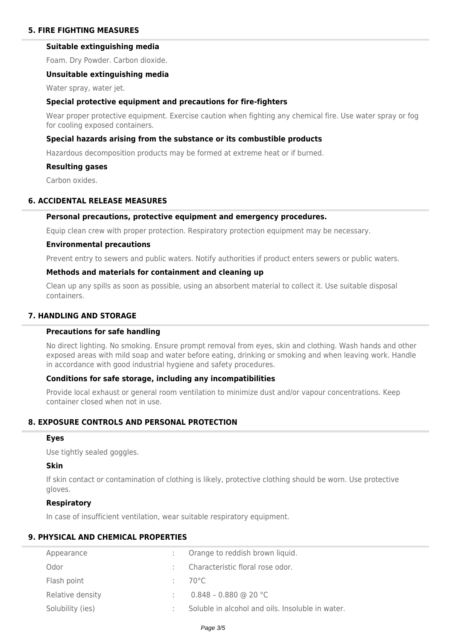# **5. FIRE FIGHTING MEASURES**

# **Suitable extinguishing media**

Foam. Dry Powder. Carbon dioxide.

#### **Unsuitable extinguishing media**

Water spray, water jet.

#### **Special protective equipment and precautions for fire-fighters**

Wear proper protective equipment. Exercise caution when fighting any chemical fire. Use water spray or fog for cooling exposed containers.

#### **Special hazards arising from the substance or its combustible products**

Hazardous decomposition products may be formed at extreme heat or if burned.

#### **Resulting gases**

Carbon oxides.

#### **6. ACCIDENTAL RELEASE MEASURES**

#### **Personal precautions, protective equipment and emergency procedures.**

Equip clean crew with proper protection. Respiratory protection equipment may be necessary.

#### **Environmental precautions**

Prevent entry to sewers and public waters. Notify authorities if product enters sewers or public waters.

# **Methods and materials for containment and cleaning up**

Clean up any spills as soon as possible, using an absorbent material to collect it. Use suitable disposal containers.

# **7. HANDLING AND STORAGE**

# **Precautions for safe handling**

No direct lighting. No smoking. Ensure prompt removal from eyes, skin and clothing. Wash hands and other exposed areas with mild soap and water before eating, drinking or smoking and when leaving work. Handle in accordance with good industrial hygiene and safety procedures.

# **Conditions for safe storage, including any incompatibilities**

Provide local exhaust or general room ventilation to minimize dust and/or vapour concentrations. Keep container closed when not in use.

# **8. EXPOSURE CONTROLS AND PERSONAL PROTECTION**

#### **Eyes**

Use tightly sealed goggles.

### **Skin**

If skin contact or contamination of clothing is likely, protective clothing should be worn. Use protective gloves.

#### **Respiratory**

In case of insufficient ventilation, wear suitable respiratory equipment.

# **9. PHYSICAL AND CHEMICAL PROPERTIES**

| Appearance       | Orange to reddish brown liquid.                  |
|------------------|--------------------------------------------------|
| Odor             | Characteristic floral rose odor.                 |
| Flash point      | 70°C                                             |
| Relative density | $0.848 - 0.880$ @ 20 °C                          |
| Solubility (ies) | Soluble in alcohol and oils. Insoluble in water. |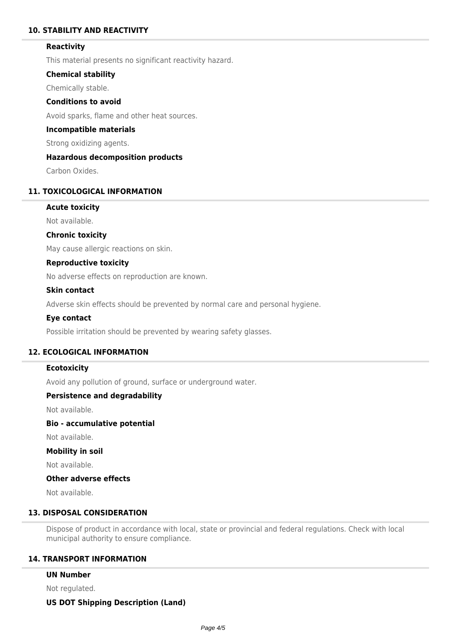# **10. STABILITY AND REACTIVITY**

### **Reactivity**

This material presents no significant reactivity hazard.

#### **Chemical stability**

Chemically stable.

# **Conditions to avoid**

Avoid sparks, flame and other heat sources.

#### **Incompatible materials**

Strong oxidizing agents.

# **Hazardous decomposition products**

Carbon Oxides.

# **11. TOXICOLOGICAL INFORMATION**

# **Acute toxicity**

Not available.

#### **Chronic toxicity**

May cause allergic reactions on skin.

### **Reproductive toxicity**

No adverse effects on reproduction are known.

#### **Skin contact**

Adverse skin effects should be prevented by normal care and personal hygiene.

#### **Eye contact**

Possible irritation should be prevented by wearing safety glasses.

# **12. ECOLOGICAL INFORMATION**

#### **Ecotoxicity**

Avoid any pollution of ground, surface or underground water.

### **Persistence and degradability**

Not available.

# **Bio - accumulative potential**

Not available.

#### **Mobility in soil**

Not available.

# **Other adverse effects**

Not available.

# **13. DISPOSAL CONSIDERATION**

Dispose of product in accordance with local, state or provincial and federal regulations. Check with local municipal authority to ensure compliance.

### **14. TRANSPORT INFORMATION**

#### **UN Number**

Not regulated.

### **US DOT Shipping Description (Land)**